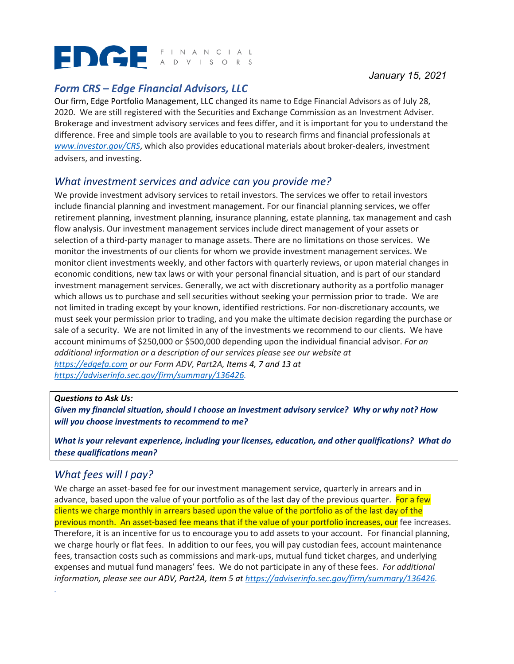# EDGE FINANCIAL

# *Form CRS – Edge Financial Advisors, LLC*

Our firm, Edge Portfolio Management, LLC changed its name to Edge Financial Advisors as of July 28, 2020. We are still registered with the Securities and Exchange Commission as an Investment Adviser. Brokerage and investment advisory services and fees differ, and it is important for you to understand the difference. Free and simple tools are available to you to research firms and financial professionals at *[www.investor.gov/CRS](http://www.investor.gov/CRS)*, which also provides educational materials about broker-dealers, investment advisers, and investing.

## *What investment services and advice can you provide me?*

We provide investment advisory services to retail investors. The services we offer to retail investors include financial planning and investment management. For our financial planning services, we offer retirement planning, investment planning, insurance planning, estate planning, tax management and cash flow analysis. Our investment management services include direct management of your assets or selection of a third-party manager to manage assets. There are no limitations on those services. We monitor the investments of our clients for whom we provide investment management services. We monitor client investments weekly, and other factors with quarterly reviews, or upon material changes in economic conditions, new tax laws or with your personal financial situation, and is part of our standard investment management services. Generally, we act with discretionary authority as a portfolio manager which allows us to purchase and sell securities without seeking your permission prior to trade. We are not limited in trading except by your known, identified restrictions. For non-discretionary accounts, we must seek your permission prior to trading, and you make the ultimate decision regarding the purchase or sale of a security. We are not limited in any of the investments we recommend to our clients. We have account minimums of \$250,000 or \$500,000 depending upon the individual financial advisor. *For an additional information or a description of our services please see our website at*, *[https://edgefa.com](https://edgefa.com/) or our Form ADV, Part2A, Items 4, 7 and 13 at [https://adviserinfo.sec.gov/firm/summary/136426.](https://adviserinfo.sec.gov/firm/summary/136426)*

## *Questions to Ask Us:*

*y* financial situation, should I

*Given my financial situation, should I choose an investment advisory service? Why or why not? How will you choose investments to recommend to me?* 

*What is your relevant experience, including your licenses, education, and other qualifications? What do these qualifications mean?* 

## *What fees will I pay?*

*. 5y* financial situation, should I

We charge an asset-based fee for our investment management service, quarterly in arrears and in advance, based upon the value of your portfolio as of the last day of the previous quarter. For a few clients we charge monthly in arrears based upon the value of the portfolio as of the last day of the previous month. An asset-based fee means that if the value of your portfolio increases, our fee increases. Therefore, it is an incentive for us to encourage you to add assets to your account. For financial planning, we charge hourly or flat fees. In addition to our fees, you will pay custodian fees, account maintenance fees, transaction costs such as commissions and mark-ups, mutual fund ticket charges, and underlying expenses and mutual fund managers' fees. We do not participate in any of these fees. *For additional information, please see our ADV, Part2A, Item 5 at [https://adviserinfo.sec.gov/firm/summary/136426.](https://adviserinfo.sec.gov/firm/summary/136426)*